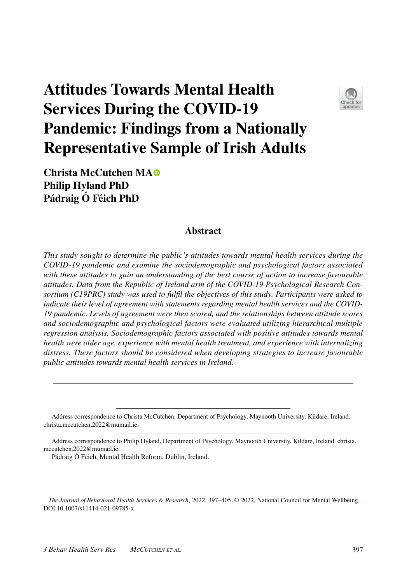# **Attitudes Towards Mental Health Services During the COVID‑19 Pandemic: Findings from a Nationally Representative Sample of Irish Adults**



**Christa McCutchen M[A](http://orcid.org/0000-0002-9899-5354) Philip Hyland PhD Pádraig Ó Féich PhD**

## **Abstract**

*This study sought to determine the public's attitudes towards mental health services during the COVID-19 pandemic and examine the sociodemographic and psychological factors associated with these attitudes to gain an understanding of the best course of action to increase favourable attitudes. Data from the Republic of Ireland arm of the COVID-19 Psychological Research Consortium (C19PRC) study was used to fulfl the objectives of this study. Participants were asked to indicate their level of agreement with statements regarding mental health services and the COVID-19 pandemic. Levels of agreement were then scored, and the relationships between attitude scores and sociodemographic and psychological factors were evaluated utilizing hierarchical multiple regression analysis. Sociodemographic factors associated with positive attitudes towards mental health were older age, experience with mental health treatment, and experience with internalizing distress. These factors should be considered when developing strategies to increase favourable public attitudes towards mental health services in Ireland.*

The Journal of Behavioral Health Services & Research, 2022. 397–405. © 2022, National Council for Mental Wellbeing, . DOI 10.1007/s11414-021-09785-x

Address correspondence to Christa McCutchen, Department of Psychology, Maynooth University, Kildare, Ireland. christa.mccutchen.2022@mumail.ie.

Address correspondence to Philip Hyland, Department of Psychology, Maynooth University, Kildare, Ireland. christa. mccutchen.2022@mumail.ie.

Pádraig Ó Féich, Mental Health Reform, Dublin, Ireland.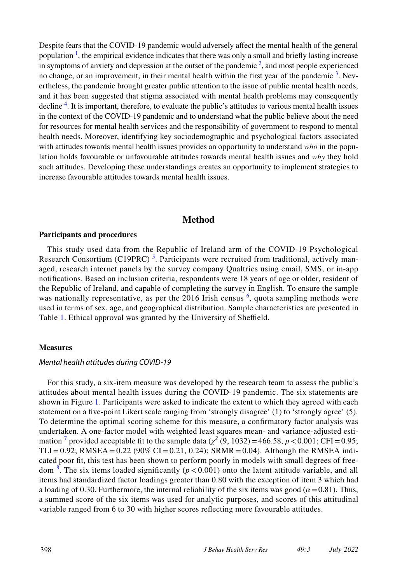Despite fears that the COVID-19 pandemic would adversely afect the mental health of the general population  $\frac{1}{1}$ , the empirical evidence indicates that there was only a small and briefly lasting increase in symptoms of anxiety and depression at the outset of the pandemic  $2$ , and most people experienced no change, or an improvement, in their mental health within the first year of the pandemic  $3$ . Nevertheless, the pandemic brought greater public attention to the issue of public mental health needs, and it has been suggested that stigma associated with mental health problems may consequently decline<sup>4</sup>. It is important, therefore, to evaluate the public's attitudes to various mental health issues in the context of the COVID-19 pandemic and to understand what the public believe about the need for resources for mental health services and the responsibility of government to respond to mental health needs. Moreover, identifying key sociodemographic and psychological factors associated with attitudes towards mental health issues provides an opportunity to understand *who* in the population holds favourable or unfavourable attitudes towards mental health issues and *why* they hold such attitudes. Developing these understandings creates an opportunity to implement strategies to increase favourable attitudes towards mental health issues.

## **Method**

#### **Participants and procedures**

This study used data from the Republic of Ireland arm of the COVID-19 Psychological Research Consortium (C19PRC)<sup>[5](#page-8-2)</sup>. Participants were recruited from traditional, actively managed, research internet panels by the survey company Qualtrics using email, SMS, or in-app notifcations. Based on inclusion criteria, respondents were 18 years of age or older, resident of the Republic of Ireland, and capable of completing the survey in English. To ensure the sample was nationally representative, as per the 201[6](#page-8-3) Irish census <sup>6</sup>, quota sampling methods were used in terms of sex, age, and geographical distribution. Sample characteristics are presented in Table [1](#page-2-0). Ethical approval was granted by the University of Sheffield.

#### **Measures**

#### *Mental health attitudes during COVID‑19*

For this study, a six-item measure was developed by the research team to assess the public's attitudes about mental health issues during the COVID-19 pandemic. The six statements are shown in Figure [1](#page-4-0). Participants were asked to indicate the extent to which they agreed with each statement on a fve-point Likert scale ranging from 'strongly disagree' (1) to 'strongly agree' (5). To determine the optimal scoring scheme for this measure, a confrmatory factor analysis was undertaken. A one-factor model with weighted least squares mean- and variance-adjusted estimation<sup>7</sup> provided acceptable fit to the sample data ( $\chi^2$  (9, 1032) = 466.58, *p* < 0.001; CFI = 0.95; TLI=0.92; RMSEA =  $0.22$  (90% CI = 0.21, 0.24); SRMR = 0.04). Although the RMSEA indicated poor ft, this test has been shown to perform poorly in models with small degrees of freedom [8](#page-8-5) . The six items loaded signifcantly (*p* < 0.001) onto the latent attitude variable, and all items had standardized factor loadings greater than 0.80 with the exception of item 3 which had a loading of 0.30. Furthermore, the internal reliability of the six items was good ( $\alpha$  = 0.81). Thus, a summed score of the six items was used for analytic purposes, and scores of this attitudinal variable ranged from 6 to 30 with higher scores refecting more favourable attitudes.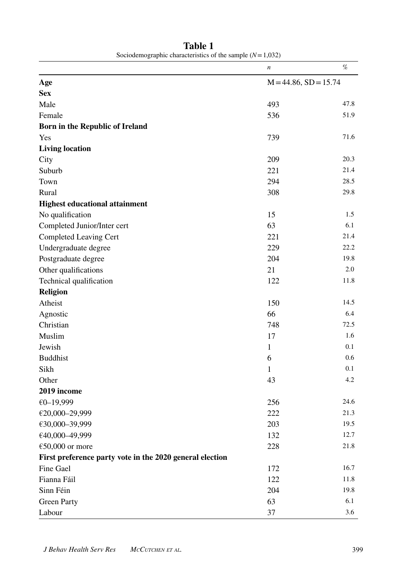|                                                          | $\boldsymbol{n}$           | %        |
|----------------------------------------------------------|----------------------------|----------|
| Age                                                      | $M = 44.86$ , $SD = 15.74$ |          |
| <b>Sex</b>                                               |                            |          |
| Male                                                     | 493                        | 47.8     |
| Female                                                   | 536                        | 51.9     |
| Born in the Republic of Ireland                          |                            |          |
| Yes                                                      | 739                        | 71.6     |
| <b>Living location</b>                                   |                            |          |
| City                                                     | 209                        | 20.3     |
| Suburb                                                   | 221                        | 21.4     |
| Town                                                     | 294                        | 28.5     |
| Rural                                                    | 308                        | 29.8     |
| <b>Highest educational attainment</b>                    |                            |          |
| No qualification                                         | 15                         | 1.5      |
| Completed Junior/Inter cert                              | 63                         | 6.1      |
| Completed Leaving Cert                                   | 221                        | 21.4     |
| Undergraduate degree                                     | 229                        | 22.2     |
| Postgraduate degree                                      | 204                        | 19.8     |
| Other qualifications                                     | 21                         | 2.0      |
| Technical qualification                                  | 122                        | 11.8     |
| <b>Religion</b>                                          |                            |          |
| Atheist                                                  | 150                        | 14.5     |
| Agnostic                                                 | 66                         | 6.4      |
| Christian                                                | 748                        | 72.5     |
| Muslim                                                   | 17                         | 1.6      |
| Jewish                                                   | $\mathbf{1}$               | 0.1      |
| <b>Buddhist</b>                                          | 6                          | 0.6      |
| Sikh                                                     | 1                          | 0.1      |
| Other                                                    | 43                         | 4.2      |
| 2019 income                                              |                            |          |
| €0-19,999                                                | 256                        | 24.6     |
| €20,000-29,999                                           | 222                        | 21.3     |
| €30,000-39,999                                           | 203                        | 19.5     |
| €40,000-49,999                                           | 132                        | 12.7     |
| $€50,000$ or more                                        | 228                        | 21.8     |
| First preference party vote in the 2020 general election |                            |          |
| Fine Gael                                                | 172                        | 16.7     |
| Fianna Fáil                                              | 122                        | $11.8\,$ |
| Sinn Féin                                                | 204                        | 19.8     |
| <b>Green Party</b>                                       | 63                         | 6.1      |
| Labour                                                   | 37                         | 3.6      |

<span id="page-2-0"></span>**Table 1** Sociodemographic characteristics of the sample  $(N=1,032)$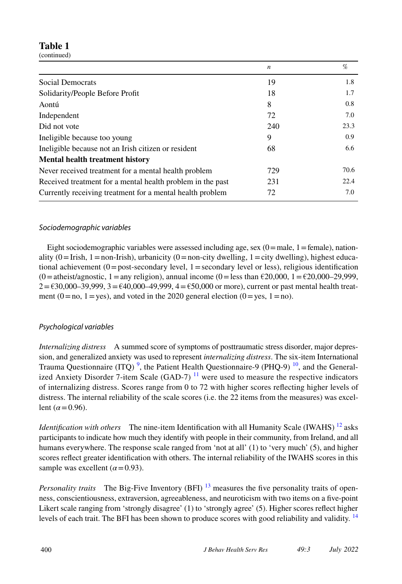# **Table 1**

(continued)

|                                                            | $\boldsymbol{n}$ | %    |
|------------------------------------------------------------|------------------|------|
| Social Democrats                                           | 19               | 1.8  |
| Solidarity/People Before Profit                            | 18               | 1.7  |
| Aontú                                                      | 8                | 0.8  |
| Independent                                                | 72               | 7.0  |
| Did not vote                                               | 240              | 23.3 |
| Ineligible because too young                               | 9                | 0.9  |
| Ineligible because not an Irish citizen or resident        | 68               | 6.6  |
| <b>Mental health treatment history</b>                     |                  |      |
| Never received treatment for a mental health problem       | 729              | 70.6 |
| Received treatment for a mental health problem in the past | 231              | 22.4 |
| Currently receiving treatment for a mental health problem  | 72               | 7.0  |

## *Sociodemographic variables*

Eight sociodemographic variables were assessed including age, sex  $(0)$  = male, 1 = female), nationality  $(0=Irish, 1=non-Irish)$ , urbanicity  $(0=non-city \dquad multiplication)$ ,  $(1=city \dquad(-1)^{1/2})$ , highest educational achievement  $(0=$  post-secondary level,  $1=$  secondary level or less), religious identification  $(0=$ atheist/agnostic, 1 = any religion), annual income  $(0=$ less than  $\epsilon$ 20,000, 1 =  $\epsilon$ 20,000–29,999,  $2 = \text{\textsterling}30,000-39,999, 3 = \text{\textsterling}40,000-49,999, 4 = \text{\textsterling}50,000$  or more), current or past mental health treatment (0=no, 1=yes), and voted in the 2020 general election (0=yes, 1=no).

## *Psychological variables*

*Internalizing distress* A summed score of symptoms of posttraumatic stress disorder, major depression, and generalized anxiety was used to represent *internalizing distress*. The six-item International Trauma Questionnaire (ITQ)<sup>[9](#page-8-6)</sup>, the Patient Health Questionnaire-9 (PHQ-9)<sup>[10](#page-8-7)</sup>, and the Generalized Anxiety Disorder 7-item Scale (GAD-7)  $^{11}$  were used to measure the respective indicators of internalizing distress. Scores range from 0 to 72 with higher scores refecting higher levels of distress. The internal reliability of the scale scores (i.e. the 22 items from the measures) was excellent ( $\alpha$  = 0.96).

*Identification with others* The nine-item Identification with all Humanity Scale (IWAHS)<sup>12</sup> asks participants to indicate how much they identify with people in their community, from Ireland, and all humans everywhere. The response scale ranged from 'not at all' (1) to 'very much' (5), and higher scores refect greater identifcation with others. The internal reliability of the IWAHS scores in this sample was excellent  $(\alpha = 0.93)$ .

*Personality traits* The Big-Five Inventory (BFI) <sup>[13](#page-8-10)</sup> measures the five personality traits of openness, conscientiousness, extraversion, agreeableness, and neuroticism with two items on a fve-point Likert scale ranging from 'strongly disagree' (1) to 'strongly agree' (5). Higher scores refect higher levels of each trait. The BFI has been shown to produce scores with good reliability and validity. <sup>[14](#page-8-11)</sup>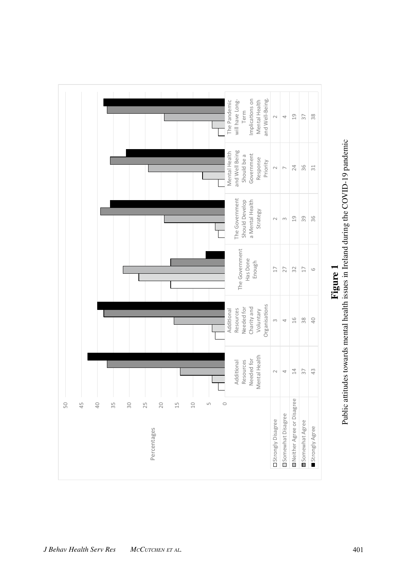

<span id="page-4-0"></span>Public attitudes towards mental health issues in Ireland during the COVID-19 pandemic Public attitudes towards mental health issues in Ireland during the COVID-19 pandemic **Figure 1**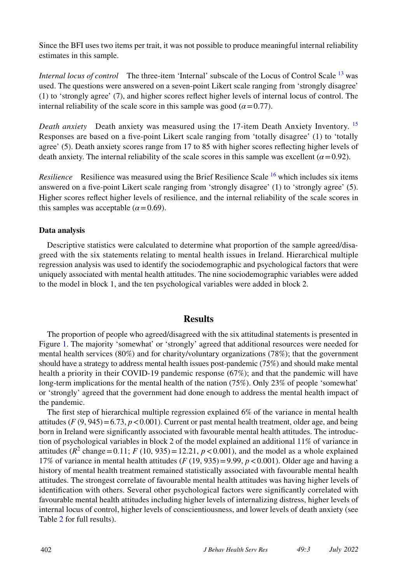Since the BFI uses two items per trait, it was not possible to produce meaningful internal reliability estimates in this sample.

*Internal locus of control* The three-item 'Internal' subscale of the Locus of Control Scale [13](#page-8-10) was used. The questions were answered on a seven-point Likert scale ranging from 'strongly disagree' (1) to 'strongly agree' (7), and higher scores refect higher levels of internal locus of control. The internal reliability of the scale score in this sample was good ( $\alpha$ =0.77).

*Death anxiety* Death anxiety was measured using the 17-item Death Anxiety Inventory. [15](#page-8-12) Responses are based on a fve-point Likert scale ranging from 'totally disagree' (1) to 'totally agree' (5). Death anxiety scores range from 17 to 85 with higher scores refecting higher levels of death anxiety. The internal reliability of the scale scores in this sample was excellent ( $\alpha$ =0.92).

*Resilience* Resilience was measured using the Brief Resilience Scale [16](#page-8-13) which includes six items answered on a fve-point Likert scale ranging from 'strongly disagree' (1) to 'strongly agree' (5). Higher scores refect higher levels of resilience, and the internal reliability of the scale scores in this samples was acceptable  $(\alpha = 0.69)$ .

#### **Data analysis**

Descriptive statistics were calculated to determine what proportion of the sample agreed/disagreed with the six statements relating to mental health issues in Ireland. Hierarchical multiple regression analysis was used to identify the sociodemographic and psychological factors that were uniquely associated with mental health attitudes. The nine sociodemographic variables were added to the model in block 1, and the ten psychological variables were added in block 2.

## **Results**

The proportion of people who agreed/disagreed with the six attitudinal statements is presented in Figure [1](#page-4-0). The majority 'somewhat' or 'strongly' agreed that additional resources were needed for mental health services (80%) and for charity/voluntary organizations (78%); that the government should have a strategy to address mental health issues post-pandemic (75%) and should make mental health a priority in their COVID-19 pandemic response (67%); and that the pandemic will have long-term implications for the mental health of the nation (75%). Only 23% of people 'somewhat' or 'strongly' agreed that the government had done enough to address the mental health impact of the pandemic.

The frst step of hierarchical multiple regression explained 6% of the variance in mental health attitudes  $(F(9, 945)=6.73, p<0.001)$ . Current or past mental health treatment, older age, and being born in Ireland were signifcantly associated with favourable mental health attitudes. The introduction of psychological variables in block 2 of the model explained an additional 11% of variance in attitudes ( $R^2$  change = 0.11; *F* (10, 935) = 12.21, *p* < 0.001), and the model as a whole explained 17% of variance in mental health attitudes  $(F (19, 935) = 9.99, p < 0.001)$ . Older age and having a history of mental health treatment remained statistically associated with favourable mental health attitudes. The strongest correlate of favourable mental health attitudes was having higher levels of identifcation with others. Several other psychological factors were signifcantly correlated with favourable mental health attitudes including higher levels of internalizing distress, higher levels of internal locus of control, higher levels of conscientiousness, and lower levels of death anxiety (see Table [2](#page-6-0) for full results).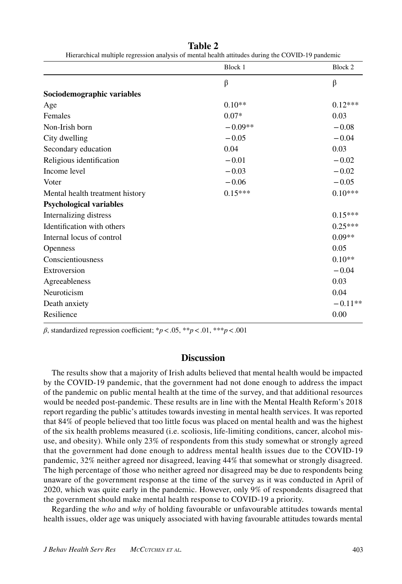|                                 | Block 1   | Block 2   |
|---------------------------------|-----------|-----------|
|                                 | $\beta$   | $\beta$   |
| Sociodemographic variables      |           |           |
| Age                             | $0.10**$  | $0.12***$ |
| Females                         | $0.07*$   | 0.03      |
| Non-Irish born                  | $-0.09**$ | $-0.08$   |
| City dwelling                   | $-0.05$   | $-0.04$   |
| Secondary education             | 0.04      | 0.03      |
| Religious identification        | $-0.01$   | $-0.02$   |
| Income level                    | $-0.03$   | $-0.02$   |
| Voter                           | $-0.06$   | $-0.05$   |
| Mental health treatment history | $0.15***$ | $0.10***$ |
| <b>Psychological variables</b>  |           |           |
| Internalizing distress          |           | $0.15***$ |
| Identification with others      |           | $0.25***$ |
| Internal locus of control       |           | $0.09**$  |
| Openness                        |           | 0.05      |
| Conscientiousness               |           | $0.10**$  |
| Extroversion                    |           | $-0.04$   |
| Agreeableness                   |           | 0.03      |
| Neuroticism                     |           | 0.04      |
| Death anxiety                   |           | $-0.11**$ |
| Resilience                      |           | 0.00      |

<span id="page-6-0"></span>**Table 2** Hierarchical multiple regression analysis of mental health attitudes during the COVID-19 pandemic

 $\beta$ , standardized regression coefficient; \* $p < .05$ , \*\* $p < .01$ , \*\*\* $p < .001$ 

#### **Discussion**

The results show that a majority of Irish adults believed that mental health would be impacted by the COVID-19 pandemic, that the government had not done enough to address the impact of the pandemic on public mental health at the time of the survey, and that additional resources would be needed post-pandemic. These results are in line with the Mental Health Reform's 2018 report regarding the public's attitudes towards investing in mental health services. It was reported that 84% of people believed that too little focus was placed on mental health and was the highest of the six health problems measured (i.e. scoliosis, life-limiting conditions, cancer, alcohol misuse, and obesity). While only 23% of respondents from this study somewhat or strongly agreed that the government had done enough to address mental health issues due to the COVID-19 pandemic, 32% neither agreed nor disagreed, leaving 44% that somewhat or strongly disagreed. The high percentage of those who neither agreed nor disagreed may be due to respondents being unaware of the government response at the time of the survey as it was conducted in April of 2020, which was quite early in the pandemic. However, only 9% of respondents disagreed that the government should make mental health response to COVID-19 a priority.

Regarding the *who* and *why* of holding favourable or unfavourable attitudes towards mental health issues, older age was uniquely associated with having favourable attitudes towards mental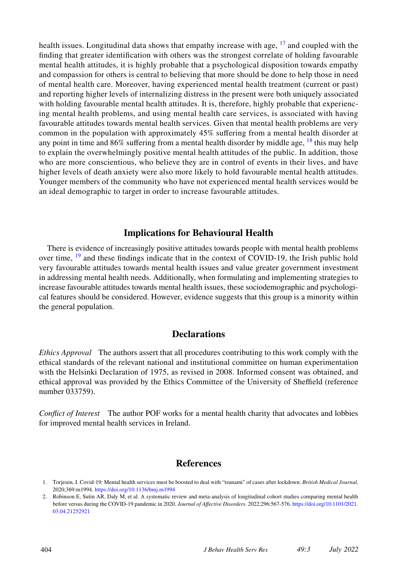health issues. Longitudinal data shows that empathy increase with age,  $^{17}$  and coupled with the fnding that greater identifcation with others was the strongest correlate of holding favourable mental health attitudes, it is highly probable that a psychological disposition towards empathy and compassion for others is central to believing that more should be done to help those in need of mental health care. Moreover, having experienced mental health treatment (current or past) and reporting higher levels of internalizing distress in the present were both uniquely associated with holding favourable mental health attitudes. It is, therefore, highly probable that experiencing mental health problems, and using mental health care services, is associated with having favourable attitudes towards mental health services. Given that mental health problems are very common in the population with approximately 45% sufering from a mental health disorder at any point in time and  $86\%$  suffering from a mental health disorder by middle age,  $^{18}$  this may help to explain the overwhelmingly positive mental health attitudes of the public. In addition, those who are more conscientious, who believe they are in control of events in their lives, and have higher levels of death anxiety were also more likely to hold favourable mental health attitudes. Younger members of the community who have not experienced mental health services would be an ideal demographic to target in order to increase favourable attitudes.

## **Implications for Behavioural Health**

There is evidence of increasingly positive attitudes towards people with mental health problems over time,  $^{19}$  $^{19}$  $^{19}$  and these findings indicate that in the context of COVID-19, the Irish public hold very favourable attitudes towards mental health issues and value greater government investment in addressing mental health needs. Additionally, when formulating and implementing strategies to increase favourable attitudes towards mental health issues, these sociodemographic and psychological features should be considered. However, evidence suggests that this group is a minority within the general population.

## **Declarations**

*Ethics Approval* The authors assert that all procedures contributing to this work comply with the ethical standards of the relevant national and institutional committee on human experimentation with the Helsinki Declaration of 1975, as revised in 2008. Informed consent was obtained, and ethical approval was provided by the Ethics Committee of the University of Shefeld (reference number 033759).

*Confict of Interest* The author POF works for a mental health charity that advocates and lobbies for improved mental health services in Ireland.

#### **References**

<span id="page-7-0"></span><sup>1.</sup> Torjesen, I. Covid-19: Mental health services must be boosted to deal with "tsunami" of cases after lockdown. *British Medical Journal,* 2020;369:m1994*.* <https://doi.org/10.1136/bmj.m1994>

<span id="page-7-1"></span><sup>2.</sup> Robinson E, Sutin AR, Daly M, et al. A systematic review and meta-analysis of longitudinal cohort studies comparing mental health before versus during the COVID-19 pandemic in 2020. *Journal of Afective Disorders.* 2022;296:567-576. [https://doi.org/10.1101/2021.](https://doi.org/10.1101/2021.03.04.21252921) [03.04.21252921](https://doi.org/10.1101/2021.03.04.21252921)